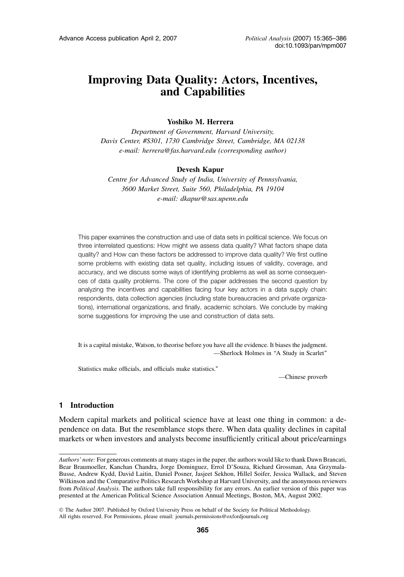# Improving Data Quality: Actors, Incentives, and Capabilities

#### Yoshiko M. Herrera

Department of Government, Harvard University, Davis Center, #S301, 1730 Cambridge Street, Cambridge, MA 02138 e-mail: herrera@fas.harvard.edu (corresponding author)

## Devesh Kapur

Centre for Advanced Study of India, University of Pennsylvania, 3600 Market Street, Suite 560, Philadelphia, PA 19104 e-mail: dkapur@sas.upenn.edu

This paper examines the construction and use of data sets in political science. We focus on three interrelated questions: How might we assess data quality? What factors shape data quality? and How can these factors be addressed to improve data quality? We first outline some problems with existing data set quality, including issues of validity, coverage, and accuracy, and we discuss some ways of identifying problems as well as some consequences of data quality problems. The core of the paper addresses the second question by analyzing the incentives and capabilities facing four key actors in a data supply chain: respondents, data collection agencies (including state bureaucracies and private organizations), international organizations, and finally, academic scholars. We conclude by making some suggestions for improving the use and construction of data sets.

It is a capital mistake, Watson, to theorise before you have all the evidence. It biases the judgment. —Sherlock Holmes in ''A Study in Scarlet''

Statistics make officials, and officials make statistics.''

—Chinese proverb

### 1 Introduction

Modern capital markets and political science have at least one thing in common: a dependence on data. But the resemblance stops there. When data quality declines in capital markets or when investors and analysts become insufficiently critical about price/earnings

Authors' note: For generous comments at many stages in the paper, the authors would like to thank Dawn Brancati, Bear Braumoeller, Kanchan Chandra, Jorge Dominguez, Errol D'Souza, Richard Grossman, Ana Grzymala-Busse, Andrew Kydd, David Laitin, Daniel Posner, Jasjeet Sekhon, Hillel Soifer, Jessica Wallack, and Steven Wilkinson and the Comparative Politics Research Workshop at Harvard University, and the anonymous reviewers from *Political Analysis*. The authors take full responsibility for any errors. An earlier version of this paper was presented at the American Political Science Association Annual Meetings, Boston, MA, August 2002.

The Author 2007. Published by Oxford University Press on behalf of the Society for Political Methodology. All rights reserved. For Permissions, please email: journals.permissions@oxfordjournals.org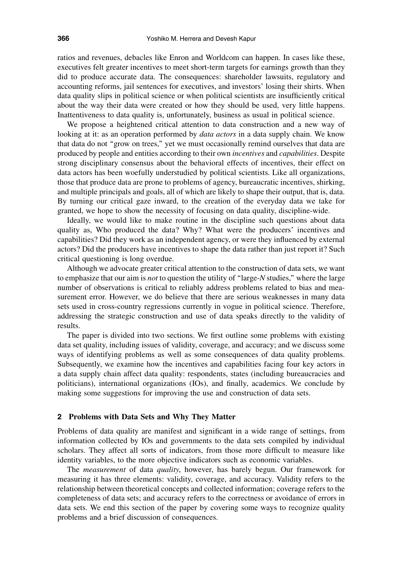ratios and revenues, debacles like Enron and Worldcom can happen. In cases like these, executives felt greater incentives to meet short-term targets for earnings growth than they did to produce accurate data. The consequences: shareholder lawsuits, regulatory and accounting reforms, jail sentences for executives, and investors' losing their shirts. When data quality slips in political science or when political scientists are insufficiently critical about the way their data were created or how they should be used, very little happens. Inattentiveness to data quality is, unfortunately, business as usual in political science.

We propose a heightened critical attention to data construction and a new way of looking at it: as an operation performed by *data actors* in a data supply chain. We know that data do not ''grow on trees,'' yet we must occasionally remind ourselves that data are produced by people and entities according to their own incentives and capabilities. Despite strong disciplinary consensus about the behavioral effects of incentives, their effect on data actors has been woefully understudied by political scientists. Like all organizations, those that produce data are prone to problems of agency, bureaucratic incentives, shirking, and multiple principals and goals, all of which are likely to shape their output, that is, data. By turning our critical gaze inward, to the creation of the everyday data we take for granted, we hope to show the necessity of focusing on data quality, discipline-wide.

Ideally, we would like to make routine in the discipline such questions about data quality as, Who produced the data? Why? What were the producers' incentives and capabilities? Did they work as an independent agency, or were they influenced by external actors? Did the producers have incentives to shape the data rather than just report it? Such critical questioning is long overdue.

Although we advocate greater critical attention to the construction of data sets, we want to emphasize that our aim is *not* to question the utility of "large- $N$  studies," where the large number of observations is critical to reliably address problems related to bias and measurement error. However, we do believe that there are serious weaknesses in many data sets used in cross-country regressions currently in vogue in political science. Therefore, addressing the strategic construction and use of data speaks directly to the validity of results.

The paper is divided into two sections. We first outline some problems with existing data set quality, including issues of validity, coverage, and accuracy; and we discuss some ways of identifying problems as well as some consequences of data quality problems. Subsequently, we examine how the incentives and capabilities facing four key actors in a data supply chain affect data quality: respondents, states (including bureaucracies and politicians), international organizations (IOs), and finally, academics. We conclude by making some suggestions for improving the use and construction of data sets.

#### 2 Problems with Data Sets and Why They Matter

Problems of data quality are manifest and significant in a wide range of settings, from information collected by IOs and governments to the data sets compiled by individual scholars. They affect all sorts of indicators, from those more difficult to measure like identity variables, to the more objective indicators such as economic variables.

The *measurement* of data *quality*, however, has barely begun. Our framework for measuring it has three elements: validity, coverage, and accuracy. Validity refers to the relationship between theoretical concepts and collected information; coverage refers to the completeness of data sets; and accuracy refers to the correctness or avoidance of errors in data sets. We end this section of the paper by covering some ways to recognize quality problems and a brief discussion of consequences.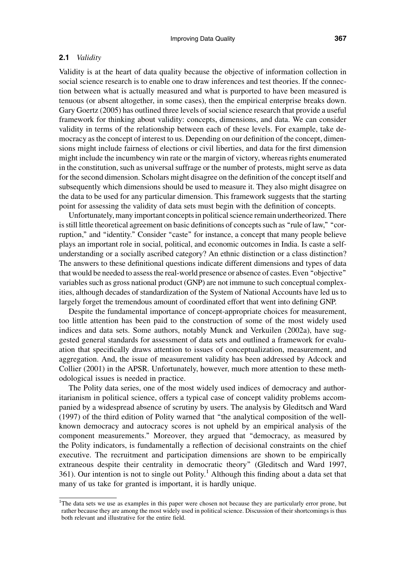### 2.1 *Validity*

Validity is at the heart of data quality because the objective of information collection in social science research is to enable one to draw inferences and test theories. If the connection between what is actually measured and what is purported to have been measured is tenuous (or absent altogether, in some cases), then the empirical enterprise breaks down. Gary Goertz (2005) has outlined three levels of social science research that provide a useful framework for thinking about validity: concepts, dimensions, and data. We can consider validity in terms of the relationship between each of these levels. For example, take democracy as the concept of interest to us. Depending on our definition of the concept, dimensions might include fairness of elections or civil liberties, and data for the first dimension might include the incumbency win rate or the margin of victory, whereas rights enumerated in the constitution, such as universal suffrage or the number of protests, might serve as data for the second dimension. Scholars might disagree on the definition of the concept itself and subsequently which dimensions should be used to measure it. They also might disagree on the data to be used for any particular dimension. This framework suggests that the starting point for assessing the validity of data sets must begin with the definition of concepts.

Unfortunately, many important concepts in political science remain undertheorized. There is still little theoretical agreement on basic definitions of concepts such as "rule of law," "corruption," and "identity." Consider "caste" for instance, a concept that many people believe plays an important role in social, political, and economic outcomes in India. Is caste a selfunderstanding or a socially ascribed category? An ethnic distinction or a class distinction? The answers to these definitional questions indicate different dimensions and types of data that would be needed to assess the real-world presence or absence of castes. Even ''objective'' variables such as gross national product (GNP) are not immune to such conceptual complexities, although decades of standardization of the System of National Accounts have led us to largely forget the tremendous amount of coordinated effort that went into defining GNP.

Despite the fundamental importance of concept-appropriate choices for measurement, too little attention has been paid to the construction of some of the most widely used indices and data sets. Some authors, notably Munck and Verkuilen (2002a), have suggested general standards for assessment of data sets and outlined a framework for evaluation that specifically draws attention to issues of conceptualization, measurement, and aggregation. And, the issue of measurement validity has been addressed by Adcock and Collier (2001) in the APSR. Unfortunately, however, much more attention to these methodological issues is needed in practice.

The Polity data series, one of the most widely used indices of democracy and authoritarianism in political science, offers a typical case of concept validity problems accompanied by a widespread absence of scrutiny by users. The analysis by Gleditsch and Ward (1997) of the third edition of Polity warned that ''the analytical composition of the wellknown democracy and autocracy scores is not upheld by an empirical analysis of the component measurements.'' Moreover, they argued that ''democracy, as measured by the Polity indicators, is fundamentally a reflection of decisional constraints on the chief executive. The recruitment and participation dimensions are shown to be empirically extraneous despite their centrality in democratic theory'' (Gleditsch and Ward 1997, 361). Our intention is not to single out Polity.<sup>1</sup> Although this finding about a data set that many of us take for granted is important, it is hardly unique.

<sup>&</sup>lt;sup>1</sup>The data sets we use as examples in this paper were chosen not because they are particularly error prone, but rather because they are among the most widely used in political science. Discussion of their shortcomings is thus both relevant and illustrative for the entire field.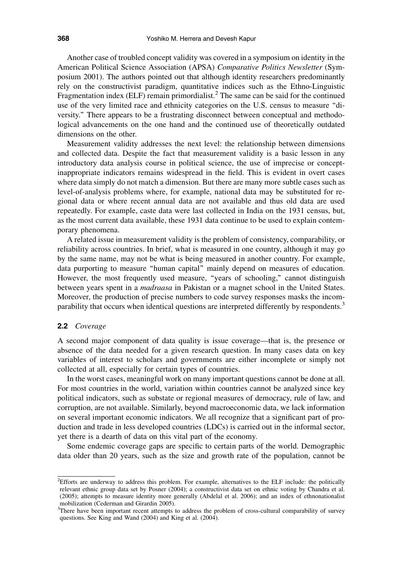Another case of troubled concept validity was covered in a symposium on identity in the American Political Science Association (APSA) Comparative Politics Newsletter (Symposium 2001). The authors pointed out that although identity researchers predominantly rely on the constructivist paradigm, quantitative indices such as the Ethno-Linguistic Fragmentation index (ELF) remain primordialist.<sup>2</sup> The same can be said for the continued use of the very limited race and ethnicity categories on the U.S. census to measure ''diversity.'' There appears to be a frustrating disconnect between conceptual and methodological advancements on the one hand and the continued use of theoretically outdated dimensions on the other.

Measurement validity addresses the next level: the relationship between dimensions and collected data. Despite the fact that measurement validity is a basic lesson in any introductory data analysis course in political science, the use of imprecise or conceptinappropriate indicators remains widespread in the field. This is evident in overt cases where data simply do not match a dimension. But there are many more subtle cases such as level-of-analysis problems where, for example, national data may be substituted for regional data or where recent annual data are not available and thus old data are used repeatedly. For example, caste data were last collected in India on the 1931 census, but, as the most current data available, these 1931 data continue to be used to explain contemporary phenomena.

A related issue in measurement validity is the problem of consistency, comparability, or reliability across countries. In brief, what is measured in one country, although it may go by the same name, may not be what is being measured in another country. For example, data purporting to measure ''human capital'' mainly depend on measures of education. However, the most frequently used measure, "years of schooling," cannot distinguish between years spent in a *madraasa* in Pakistan or a magnet school in the United States. Moreover, the production of precise numbers to code survey responses masks the incomparability that occurs when identical questions are interpreted differently by respondents.<sup>3</sup>

#### 2.2 Coverage

A second major component of data quality is issue coverage—that is, the presence or absence of the data needed for a given research question. In many cases data on key variables of interest to scholars and governments are either incomplete or simply not collected at all, especially for certain types of countries.

In the worst cases, meaningful work on many important questions cannot be done at all. For most countries in the world, variation within countries cannot be analyzed since key political indicators, such as substate or regional measures of democracy, rule of law, and corruption, are not available. Similarly, beyond macroeconomic data, we lack information on several important economic indicators. We all recognize that a significant part of production and trade in less developed countries (LDCs) is carried out in the informal sector, yet there is a dearth of data on this vital part of the economy.

Some endemic coverage gaps are specific to certain parts of the world. Demographic data older than 20 years, such as the size and growth rate of the population, cannot be

<sup>2</sup> Efforts are underway to address this problem. For example, alternatives to the ELF include: the politically relevant ethnic group data set by Posner (2004); a constructivist data set on ethnic voting by Chandra et al. (2005); attempts to measure identity more generally (Abdelal et al. 2006); and an index of ethnonationalist mobilization (Cederman and Girardin 2005).

<sup>&</sup>lt;sup>3</sup>There have been important recent attempts to address the problem of cross-cultural comparability of survey questions. See King and Wand (2004) and King et al. (2004).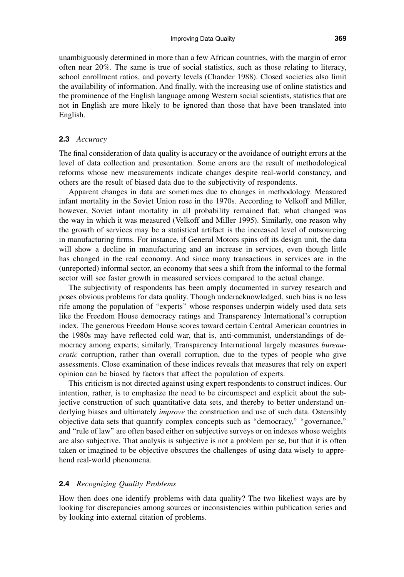unambiguously determined in more than a few African countries, with the margin of error often near 20%. The same is true of social statistics, such as those relating to literacy, school enrollment ratios, and poverty levels (Chander 1988). Closed societies also limit the availability of information. And finally, with the increasing use of online statistics and the prominence of the English language among Western social scientists, statistics that are not in English are more likely to be ignored than those that have been translated into English.

# 2.3 Accuracy

The final consideration of data quality is accuracy or the avoidance of outright errors at the level of data collection and presentation. Some errors are the result of methodological reforms whose new measurements indicate changes despite real-world constancy, and others are the result of biased data due to the subjectivity of respondents.

Apparent changes in data are sometimes due to changes in methodology. Measured infant mortality in the Soviet Union rose in the 1970s. According to Velkoff and Miller, however, Soviet infant mortality in all probability remained flat; what changed was the way in which it was measured (Velkoff and Miller 1995). Similarly, one reason why the growth of services may be a statistical artifact is the increased level of outsourcing in manufacturing firms. For instance, if General Motors spins off its design unit, the data will show a decline in manufacturing and an increase in services, even though little has changed in the real economy. And since many transactions in services are in the (unreported) informal sector, an economy that sees a shift from the informal to the formal sector will see faster growth in measured services compared to the actual change.

The subjectivity of respondents has been amply documented in survey research and poses obvious problems for data quality. Though underacknowledged, such bias is no less rife among the population of ''experts'' whose responses underpin widely used data sets like the Freedom House democracy ratings and Transparency International's corruption index. The generous Freedom House scores toward certain Central American countries in the 1980s may have reflected cold war, that is, anti-communist, understandings of democracy among experts; similarly, Transparency International largely measures bureaucratic corruption, rather than overall corruption, due to the types of people who give assessments. Close examination of these indices reveals that measures that rely on expert opinion can be biased by factors that affect the population of experts.

This criticism is not directed against using expert respondents to construct indices. Our intention, rather, is to emphasize the need to be circumspect and explicit about the subjective construction of such quantitative data sets, and thereby to better understand underlying biases and ultimately *improve* the construction and use of such data. Ostensibly objective data sets that quantify complex concepts such as ''democracy,'' ''governance,'' and ''rule of law'' are often based either on subjective surveys or on indexes whose weights are also subjective. That analysis is subjective is not a problem per se, but that it is often taken or imagined to be objective obscures the challenges of using data wisely to apprehend real-world phenomena.

#### 2.4 Recognizing Quality Problems

How then does one identify problems with data quality? The two likeliest ways are by looking for discrepancies among sources or inconsistencies within publication series and by looking into external citation of problems.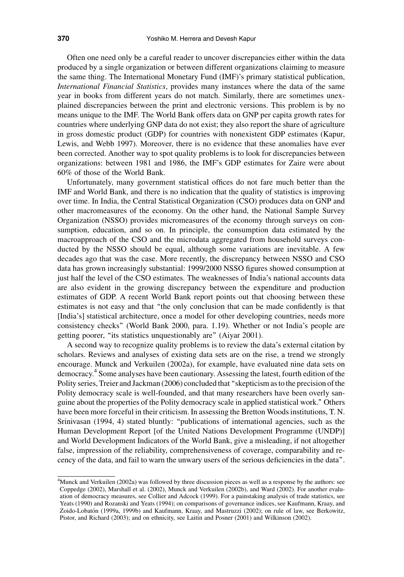Often one need only be a careful reader to uncover discrepancies either within the data produced by a single organization or between different organizations claiming to measure the same thing. The International Monetary Fund (IMF)'s primary statistical publication, International Financial Statistics, provides many instances where the data of the same year in books from different years do not match. Similarly, there are sometimes unexplained discrepancies between the print and electronic versions. This problem is by no means unique to the IMF. The World Bank offers data on GNP per capita growth rates for countries where underlying GNP data do not exist; they also report the share of agriculture in gross domestic product (GDP) for countries with nonexistent GDP estimates (Kapur, Lewis, and Webb 1997). Moreover, there is no evidence that these anomalies have ever been corrected. Another way to spot quality problems is to look for discrepancies between organizations: between 1981 and 1986, the IMF's GDP estimates for Zaire were about 60% of those of the World Bank.

Unfortunately, many government statistical offices do not fare much better than the IMF and World Bank, and there is no indication that the quality of statistics is improving over time. In India, the Central Statistical Organization (CSO) produces data on GNP and other macromeasures of the economy. On the other hand, the National Sample Survey Organization (NSSO) provides micromeasures of the economy through surveys on consumption, education, and so on. In principle, the consumption data estimated by the macroapproach of the CSO and the microdata aggregated from household surveys conducted by the NSSO should be equal, although some variations are inevitable. A few decades ago that was the case. More recently, the discrepancy between NSSO and CSO data has grown increasingly substantial: 1999/2000 NSSO figures showed consumption at just half the level of the CSO estimates. The weaknesses of India's national accounts data are also evident in the growing discrepancy between the expenditure and production estimates of GDP. A recent World Bank report points out that choosing between these estimates is not easy and that ''the only conclusion that can be made confidently is that [India's] statistical architecture, once a model for other developing countries, needs more consistency checks'' (World Bank 2000, para. 1.19). Whether or not India's people are getting poorer, ''its statistics unquestionably are'' (Aiyar 2001).

A second way to recognize quality problems is to review the data's external citation by scholars. Reviews and analyses of existing data sets are on the rise, a trend we strongly encourage. Munck and Verkuilen (2002a), for example, have evaluated nine data sets on democracy.<sup>4</sup> Some analyses have been cautionary. Assessing the latest, fourth edition of the Polity series, Treier and Jackman (2006) concluded that ''skepticism as to the precision of the Polity democracy scale is well-founded, and that many researchers have been overly sanguine about the properties of the Polity democracy scale in applied statistical work.'' Others have been more forceful in their criticism. In assessing the Bretton Woods institutions, T. N. Srinivasan (1994, 4) stated bluntly: ''publications of international agencies, such as the Human Development Report [of the United Nations Development Programme (UNDP)] and World Development Indicators of the World Bank, give a misleading, if not altogether false, impression of the reliability, comprehensiveness of coverage, comparability and recency of the data, and fail to warn the unwary users of the serious deficiencies in the data''.

<sup>4</sup> Munck and Verkuilen (2002a) was followed by three discussion pieces as well as a response by the authors: see Coppedge (2002), Marshall et al. (2002), Munck and Verkuilen (2002b), and Ward (2002). For another evaluation of democracy measures, see Collier and Adcock (1999). For a painstaking analysis of trade statistics, see Yeats (1990) and Rozanski and Yeats (1994); on comparisons of governance indices, see Kaufmann, Kraay, and Zoido-Lobatón (1999a, 1999b) and Kaufmann, Kraay, and Mastruzzi (2002); on rule of law, see Berkowitz, Pistor, and Richard (2003); and on ethnicity, see Laitin and Posner (2001) and Wilkinson (2002).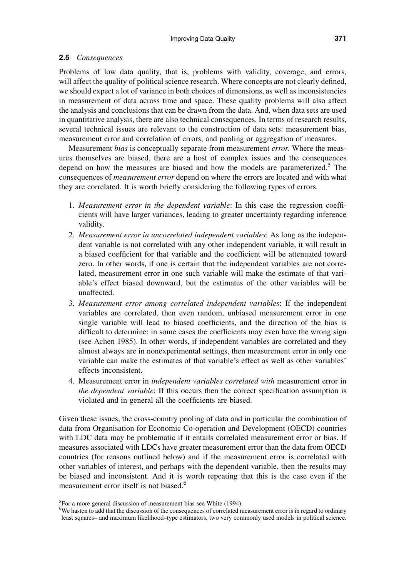# 2.5 Consequences

Problems of low data quality, that is, problems with validity, coverage, and errors, will affect the quality of political science research. Where concepts are not clearly defined, we should expect a lot of variance in both choices of dimensions, as well as inconsistencies in measurement of data across time and space. These quality problems will also affect the analysis and conclusions that can be drawn from the data. And, when data sets are used in quantitative analysis, there are also technical consequences. In terms of research results, several technical issues are relevant to the construction of data sets: measurement bias, measurement error and correlation of errors, and pooling or aggregation of measures.

Measurement *bias* is conceptually separate from measurement *error*. Where the measures themselves are biased, there are a host of complex issues and the consequences depend on how the measures are biased and how the models are parameterized.<sup>5</sup> The consequences of measurement error depend on where the errors are located and with what they are correlated. It is worth briefly considering the following types of errors.

- 1. Measurement error in the dependent variable: In this case the regression coefficients will have larger variances, leading to greater uncertainty regarding inference validity.
- 2. Measurement error in uncorrelated independent variables: As long as the independent variable is not correlated with any other independent variable, it will result in a biased coefficient for that variable and the coefficient will be attenuated toward zero. In other words, if one is certain that the independent variables are not correlated, measurement error in one such variable will make the estimate of that variable's effect biased downward, but the estimates of the other variables will be unaffected.
- 3. Measurement error among correlated independent variables: If the independent variables are correlated, then even random, unbiased measurement error in one single variable will lead to biased coefficients, and the direction of the bias is difficult to determine; in some cases the coefficients may even have the wrong sign (see Achen 1985). In other words, if independent variables are correlated and they almost always are in nonexperimental settings, then measurement error in only one variable can make the estimates of that variable's effect as well as other variables' effects inconsistent.
- 4. Measurement error in independent variables correlated with measurement error in the dependent variable: If this occurs then the correct specification assumption is violated and in general all the coefficients are biased.

Given these issues, the cross-country pooling of data and in particular the combination of data from Organisation for Economic Co-operation and Development (OECD) countries with LDC data may be problematic if it entails correlated measurement error or bias. If measures associated with LDCs have greater measurement error than the data from OECD countries (for reasons outlined below) and if the measurement error is correlated with other variables of interest, and perhaps with the dependent variable, then the results may be biased and inconsistent. And it is worth repeating that this is the case even if the measurement error itself is not biased.<sup>6</sup>

<sup>&</sup>lt;sup>5</sup>For a more general discussion of measurement bias see White (1994).

<sup>&</sup>lt;sup>6</sup>We hasten to add that the discussion of the consequences of correlated measurement error is in regard to ordinary least squares– and maximum likelihood–type estimators, two very commonly used models in political science.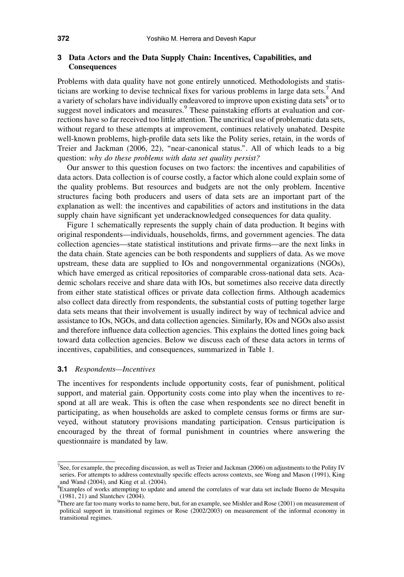# 3 Data Actors and the Data Supply Chain: Incentives, Capabilities, and **Consequences**

Problems with data quality have not gone entirely unnoticed. Methodologists and statisticians are working to devise technical fixes for various problems in large data sets.<sup>7</sup> And a variety of scholars have individually endeavored to improve upon existing data sets<sup>8</sup> or to suggest novel indicators and measures.<sup>9</sup> These painstaking efforts at evaluation and corrections have so far received too little attention. The uncritical use of problematic data sets, without regard to these attempts at improvement, continues relatively unabated. Despite well-known problems, high-profile data sets like the Polity series, retain, in the words of Treier and Jackman (2006, 22), "near-canonical status.". All of which leads to a big question: why do these problems with data set quality persist?

Our answer to this question focuses on two factors: the incentives and capabilities of data actors. Data collection is of course costly, a factor which alone could explain some of the quality problems. But resources and budgets are not the only problem. Incentive structures facing both producers and users of data sets are an important part of the explanation as well: the incentives and capabilities of actors and institutions in the data supply chain have significant yet underacknowledged consequences for data quality.

Figure 1 schematically represents the supply chain of data production. It begins with original respondents—individuals, households, firms, and government agencies. The data collection agencies—state statistical institutions and private firms—are the next links in the data chain. State agencies can be both respondents and suppliers of data. As we move upstream, these data are supplied to IOs and nongovernmental organizations (NGOs), which have emerged as critical repositories of comparable cross-national data sets. Academic scholars receive and share data with IOs, but sometimes also receive data directly from either state statistical offices or private data collection firms. Although academics also collect data directly from respondents, the substantial costs of putting together large data sets means that their involvement is usually indirect by way of technical advice and assistance to IOs, NGOs, and data collection agencies. Similarly, IOs and NGOs also assist and therefore influence data collection agencies. This explains the dotted lines going back toward data collection agencies. Below we discuss each of these data actors in terms of incentives, capabilities, and consequences, summarized in Table 1.

#### 3.1 Respondents—Incentives

The incentives for respondents include opportunity costs, fear of punishment, political support, and material gain. Opportunity costs come into play when the incentives to respond at all are weak. This is often the case when respondents see no direct benefit in participating, as when households are asked to complete census forms or firms are surveyed, without statutory provisions mandating participation. Census participation is encouraged by the threat of formal punishment in countries where answering the questionnaire is mandated by law.

 $^7$ See, for example, the preceding discussion, as well as Treier and Jackman (2006) on adjustments to the Polity IV series. For attempts to address contextually specific effects across contexts, see Wong and Mason (1991), King and Wand (2004), and King et al. (2004).

<sup>8</sup> Examples of works attempting to update and amend the correlates of war data set include Bueno de Mesquita (1981, 21) and Slantchev (2004).

<sup>&</sup>lt;sup>9</sup>There are far too many works to name here, but, for an example, see Mishler and Rose (2001) on measurement of political support in transitional regimes or Rose (2002/2003) on measurement of the informal economy in transitional regimes.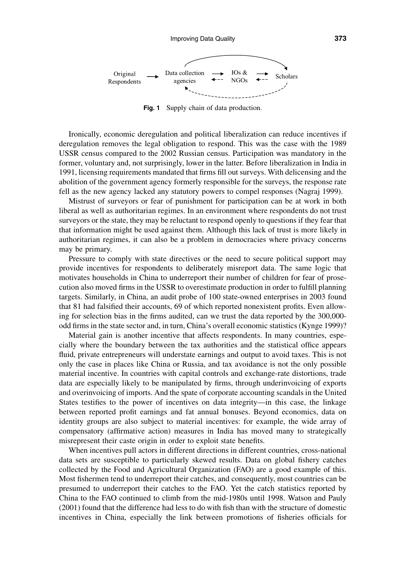

Fig. 1 Supply chain of data production.

Ironically, economic deregulation and political liberalization can reduce incentives if deregulation removes the legal obligation to respond. This was the case with the 1989 USSR census compared to the 2002 Russian census. Participation was mandatory in the former, voluntary and, not surprisingly, lower in the latter. Before liberalization in India in 1991, licensing requirements mandated that firms fill out surveys. With delicensing and the abolition of the government agency formerly responsible for the surveys, the response rate fell as the new agency lacked any statutory powers to compel responses (Nagraj 1999).

Mistrust of surveyors or fear of punishment for participation can be at work in both liberal as well as authoritarian regimes. In an environment where respondents do not trust surveyors or the state, they may be reluctant to respond openly to questions if they fear that that information might be used against them. Although this lack of trust is more likely in authoritarian regimes, it can also be a problem in democracies where privacy concerns may be primary.

Pressure to comply with state directives or the need to secure political support may provide incentives for respondents to deliberately misreport data. The same logic that motivates households in China to underreport their number of children for fear of prosecution also moved firms in the USSR to overestimate production in order to fulfill planning targets. Similarly, in China, an audit probe of 100 state-owned enterprises in 2003 found that 81 had falsified their accounts, 69 of which reported nonexistent profits. Even allowing for selection bias in the firms audited, can we trust the data reported by the 300,000 odd firms in the state sector and, in turn, China's overall economic statistics (Kynge 1999)?

Material gain is another incentive that affects respondents. In many countries, especially where the boundary between the tax authorities and the statistical office appears fluid, private entrepreneurs will understate earnings and output to avoid taxes. This is not only the case in places like China or Russia, and tax avoidance is not the only possible material incentive. In countries with capital controls and exchange-rate distortions, trade data are especially likely to be manipulated by firms, through underinvoicing of exports and overinvoicing of imports. And the spate of corporate accounting scandals in the United States testifies to the power of incentives on data integrity—in this case, the linkage between reported profit earnings and fat annual bonuses. Beyond economics, data on identity groups are also subject to material incentives: for example, the wide array of compensatory (affirmative action) measures in India has moved many to strategically misrepresent their caste origin in order to exploit state benefits.

When incentives pull actors in different directions in different countries, cross-national data sets are susceptible to particularly skewed results. Data on global fishery catches collected by the Food and Agricultural Organization (FAO) are a good example of this. Most fishermen tend to underreport their catches, and consequently, most countries can be presumed to underreport their catches to the FAO. Yet the catch statistics reported by China to the FAO continued to climb from the mid-1980s until 1998. Watson and Pauly (2001) found that the difference had less to do with fish than with the structure of domestic incentives in China, especially the link between promotions of fisheries officials for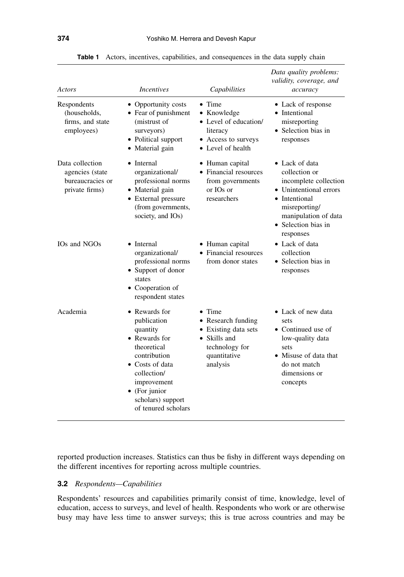| <i><u>Incentives</u></i><br>Actors                                       |                                                                                                                                                                                                                | Capabilities                                                                                                                       | Data quality problems:<br>validity, coverage, and<br>accuracy                                                                                                                    |
|--------------------------------------------------------------------------|----------------------------------------------------------------------------------------------------------------------------------------------------------------------------------------------------------------|------------------------------------------------------------------------------------------------------------------------------------|----------------------------------------------------------------------------------------------------------------------------------------------------------------------------------|
| Respondents<br>(households,<br>firms, and state<br>employees)            | • Opportunity costs<br>• Fear of punishment<br>(mistrust of<br>surveyors)<br>• Political support<br>• Material gain                                                                                            | $\bullet$ Time<br>• Knowledge<br>• Level of education/<br>literacy<br>• Access to surveys<br>• Level of health                     | • Lack of response<br>• Intentional<br>misreporting<br>• Selection bias in<br>responses                                                                                          |
| Data collection<br>agencies (state<br>bureaucracies or<br>private firms) | • Internal<br>organizational/<br>professional norms<br>• Material gain<br>• External pressure<br>(from governments,<br>society, and IOs)                                                                       | • Human capital<br>• Financial resources<br>from governments<br>or IOs or<br>researchers                                           | • Lack of data<br>collection or<br>incomplete collection<br>• Unintentional errors<br>• Intentional<br>misreporting/<br>manipulation of data<br>• Selection bias in<br>responses |
| IOs and NGOs                                                             | • Internal<br>organizational/<br>professional norms<br>• Support of donor<br>states<br>• Cooperation of<br>respondent states                                                                                   | • Human capital<br>• Financial resources<br>from donor states                                                                      | • Lack of data<br>collection<br>• Selection bias in<br>responses                                                                                                                 |
| Academia                                                                 | • Rewards for<br>publication<br>quantity<br>• Rewards for<br>theoretical<br>contribution<br>• Costs of data<br>collection/<br>improvement<br>$\bullet$ (For junior<br>scholars) support<br>of tenured scholars | $\bullet$ Time<br>• Research funding<br>• Existing data sets<br>$\bullet$ Skills and<br>technology for<br>quantitative<br>analysis | • Lack of new data<br>sets<br>• Continued use of<br>low-quality data<br>sets<br>• Misuse of data that<br>do not match<br>dimensions or<br>concepts                               |

Table 1 Actors, incentives, capabilities, and consequences in the data supply chain

reported production increases. Statistics can thus be fishy in different ways depending on the different incentives for reporting across multiple countries.

# 3.2 Respondents—Capabilities

Respondents' resources and capabilities primarily consist of time, knowledge, level of education, access to surveys, and level of health. Respondents who work or are otherwise busy may have less time to answer surveys; this is true across countries and may be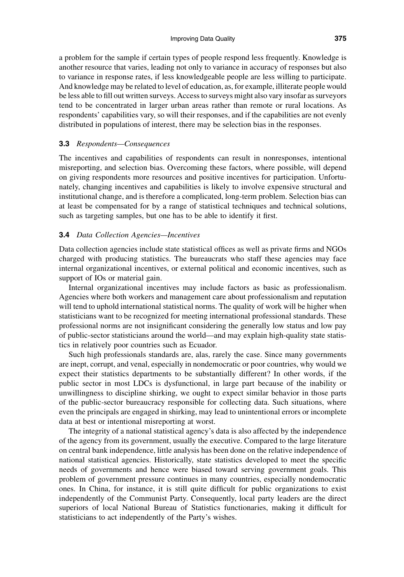a problem for the sample if certain types of people respond less frequently. Knowledge is another resource that varies, leading not only to variance in accuracy of responses but also to variance in response rates, if less knowledgeable people are less willing to participate. And knowledge may be related to level of education, as, for example, illiterate people would be less able to fill out written surveys. Access to surveys might also vary insofar as surveyors tend to be concentrated in larger urban areas rather than remote or rural locations. As respondents' capabilities vary, so will their responses, and if the capabilities are not evenly distributed in populations of interest, there may be selection bias in the responses.

#### 3.3 Respondents—Consequences

The incentives and capabilities of respondents can result in nonresponses, intentional misreporting, and selection bias. Overcoming these factors, where possible, will depend on giving respondents more resources and positive incentives for participation. Unfortunately, changing incentives and capabilities is likely to involve expensive structural and institutional change, and is therefore a complicated, long-term problem. Selection bias can at least be compensated for by a range of statistical techniques and technical solutions, such as targeting samples, but one has to be able to identify it first.

#### 3.4 Data Collection Agencies—Incentives

Data collection agencies include state statistical offices as well as private firms and NGOs charged with producing statistics. The bureaucrats who staff these agencies may face internal organizational incentives, or external political and economic incentives, such as support of IOs or material gain.

Internal organizational incentives may include factors as basic as professionalism. Agencies where both workers and management care about professionalism and reputation will tend to uphold international statistical norms. The quality of work will be higher when statisticians want to be recognized for meeting international professional standards. These professional norms are not insignificant considering the generally low status and low pay of public-sector statisticians around the world—and may explain high-quality state statistics in relatively poor countries such as Ecuador.

Such high professionals standards are, alas, rarely the case. Since many governments are inept, corrupt, and venal, especially in nondemocratic or poor countries, why would we expect their statistics departments to be substantially different? In other words, if the public sector in most LDCs is dysfunctional, in large part because of the inability or unwillingness to discipline shirking, we ought to expect similar behavior in those parts of the public-sector bureaucracy responsible for collecting data. Such situations, where even the principals are engaged in shirking, may lead to unintentional errors or incomplete data at best or intentional misreporting at worst.

The integrity of a national statistical agency's data is also affected by the independence of the agency from its government, usually the executive. Compared to the large literature on central bank independence, little analysis has been done on the relative independence of national statistical agencies. Historically, state statistics developed to meet the specific needs of governments and hence were biased toward serving government goals. This problem of government pressure continues in many countries, especially nondemocratic ones. In China, for instance, it is still quite difficult for public organizations to exist independently of the Communist Party. Consequently, local party leaders are the direct superiors of local National Bureau of Statistics functionaries, making it difficult for statisticians to act independently of the Party's wishes.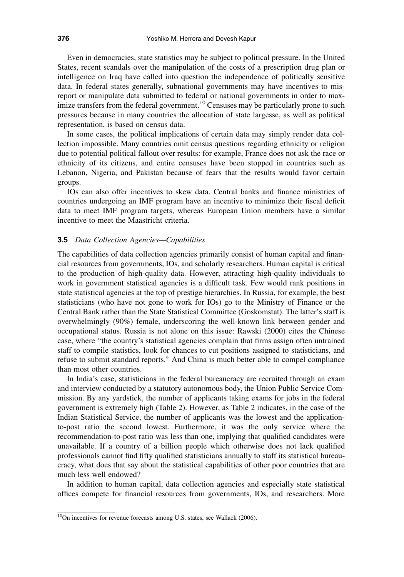Even in democracies, state statistics may be subject to political pressure. In the United States, recent scandals over the manipulation of the costs of a prescription drug plan or intelligence on Iraq have called into question the independence of politically sensitive data. In federal states generally, subnational governments may have incentives to misreport or manipulate data submitted to federal or national governments in order to maximize transfers from the federal government.<sup>10</sup> Censuses may be particularly prone to such pressures because in many countries the allocation of state largesse, as well as political representation, is based on census data.

In some cases, the political implications of certain data may simply render data collection impossible. Many countries omit census questions regarding ethnicity or religion due to potential political fallout over results: for example, France does not ask the race or ethnicity of its citizens, and entire censuses have been stopped in countries such as Lebanon, Nigeria, and Pakistan because of fears that the results would favor certain groups.

IOs can also offer incentives to skew data. Central banks and finance ministries of countries undergoing an IMF program have an incentive to minimize their fiscal deficit data to meet IMF program targets, whereas European Union members have a similar incentive to meet the Maastricht criteria.

### **3.5** Data Collection Agencies–Capabilities

The capabilities of data collection agencies primarily consist of human capital and financial resources from governments, IOs, and scholarly researchers. Human capital is critical to the production of high-quality data. However, attracting high-quality individuals to work in government statistical agencies is a difficult task. Few would rank positions in state statistical agencies at the top of prestige hierarchies. In Russia, for example, the best statisticians (who have not gone to work for IOs) go to the Ministry of Finance or the Central Bank rather than the State Statistical Committee (Goskomstat). The latter's staff is overwhelmingly (90%) female, underscoring the well-known link between gender and occupational status. Russia is not alone on this issue: Rawski (2000) cites the Chinese case, where ''the country's statistical agencies complain that firms assign often untrained staff to compile statistics, look for chances to cut positions assigned to statisticians, and refuse to submit standard reports.'' And China is much better able to compel compliance than most other countries.

In India's case, statisticians in the federal bureaucracy are recruited through an exam and interview conducted by a statutory autonomous body, the Union Public Service Commission. By any yardstick, the number of applicants taking exams for jobs in the federal government is extremely high (Table 2). However, as Table 2 indicates, in the case of the Indian Statistical Service, the number of applicants was the lowest and the applicationto-post ratio the second lowest. Furthermore, it was the only service where the recommendation-to-post ratio was less than one, implying that qualified candidates were unavailable. If a country of a billion people which otherwise does not lack qualified professionals cannot find fifty qualified statisticians annually to staff its statistical bureaucracy, what does that say about the statistical capabilities of other poor countries that are much less well endowed?

In addition to human capital, data collection agencies and especially state statistical offices compete for financial resources from governments, IOs, and researchers. More

<sup>&</sup>lt;sup>10</sup>On incentives for revenue forecasts among U.S. states, see Wallack (2006).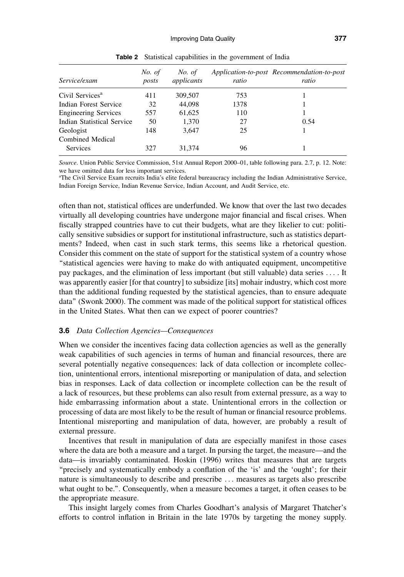| Service/exam                | No. of<br>posts | No. of<br>applicants | ratio | Application-to-post Recommendation-to-post<br>ratio |
|-----------------------------|-----------------|----------------------|-------|-----------------------------------------------------|
| Civil Services <sup>a</sup> | 411             | 309,507              | 753   |                                                     |
| Indian Forest Service       | 32              | 44,098               | 1378  |                                                     |
| <b>Engineering Services</b> | 557             | 61,625               | 110   |                                                     |
| Indian Statistical Service  | 50              | 1,370                | 27    | 0.54                                                |
| Geologist                   | 148             | 3.647                | 25    |                                                     |
| Combined Medical            |                 |                      |       |                                                     |
| <b>Services</b>             | 327             | 31.374               | 96    |                                                     |

Table 2 Statistical capabilities in the government of India

Source. Union Public Service Commission, 51st Annual Report 2000–01, table following para. 2.7, p. 12. Note: we have omitted data for less important services.

a The Civil Service Exam recruits India's elite federal bureaucracy including the Indian Administrative Service, Indian Foreign Service, Indian Revenue Service, Indian Account, and Audit Service, etc.

often than not, statistical offices are underfunded. We know that over the last two decades virtually all developing countries have undergone major financial and fiscal crises. When fiscally strapped countries have to cut their budgets, what are they likelier to cut: politically sensitive subsidies or support for institutional infrastructure, such as statistics departments? Indeed, when cast in such stark terms, this seems like a rhetorical question. Consider this comment on the state of support for the statistical system of a country whose ''statistical agencies were having to make do with antiquated equipment, uncompetitive pay packages, and the elimination of less important (but still valuable) data series ... . It was apparently easier [for that country] to subsidize [its] mohair industry, which cost more than the additional funding requested by the statistical agencies, than to ensure adequate data'' (Swonk 2000). The comment was made of the political support for statistical offices in the United States. What then can we expect of poorer countries?

#### 3.6 Data Collection Agencies—Consequences

When we consider the incentives facing data collection agencies as well as the generally weak capabilities of such agencies in terms of human and financial resources, there are several potentially negative consequences: lack of data collection or incomplete collection, unintentional errors, intentional misreporting or manipulation of data, and selection bias in responses. Lack of data collection or incomplete collection can be the result of a lack of resources, but these problems can also result from external pressure, as a way to hide embarrassing information about a state. Unintentional errors in the collection or processing of data are most likely to be the result of human or financial resource problems. Intentional misreporting and manipulation of data, however, are probably a result of external pressure.

Incentives that result in manipulation of data are especially manifest in those cases where the data are both a measure and a target. In pursing the target, the measure—and the data—is invariably contaminated. Hoskin (1996) writes that measures that are targets "precisely and systematically embody a conflation of the 'is' and the 'ought'; for their nature is simultaneously to describe and prescribe ... measures as targets also prescribe what ought to be.''. Consequently, when a measure becomes a target, it often ceases to be the appropriate measure.

This insight largely comes from Charles Goodhart's analysis of Margaret Thatcher's efforts to control inflation in Britain in the late 1970s by targeting the money supply.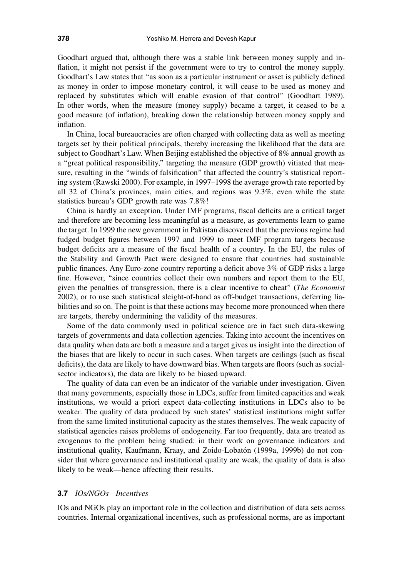Goodhart argued that, although there was a stable link between money supply and inflation, it might not persist if the government were to try to control the money supply. Goodhart's Law states that ''as soon as a particular instrument or asset is publicly defined as money in order to impose monetary control, it will cease to be used as money and replaced by substitutes which will enable evasion of that control'' (Goodhart 1989). In other words, when the measure (money supply) became a target, it ceased to be a good measure (of inflation), breaking down the relationship between money supply and inflation.

In China, local bureaucracies are often charged with collecting data as well as meeting targets set by their political principals, thereby increasing the likelihood that the data are subject to Goodhart's Law. When Beijing established the objective of 8% annual growth as a "great political responsibility," targeting the measure (GDP growth) vitiated that measure, resulting in the ''winds of falsification'' that affected the country's statistical reporting system (Rawski 2000). For example, in 1997–1998 the average growth rate reported by all 32 of China's provinces, main cities, and regions was 9.3%, even while the state statistics bureau's GDP growth rate was 7.8%!

China is hardly an exception. Under IMF programs, fiscal deficits are a critical target and therefore are becoming less meaningful as a measure, as governments learn to game the target. In 1999 the new government in Pakistan discovered that the previous regime had fudged budget figures between 1997 and 1999 to meet IMF program targets because budget deficits are a measure of the fiscal health of a country. In the EU, the rules of the Stability and Growth Pact were designed to ensure that countries had sustainable public finances. Any Euro-zone country reporting a deficit above 3% of GDP risks a large fine. However, "since countries collect their own numbers and report them to the EU, given the penalties of transgression, there is a clear incentive to cheat'' (The Economist 2002), or to use such statistical sleight-of-hand as off-budget transactions, deferring liabilities and so on. The point is that these actions may become more pronounced when there are targets, thereby undermining the validity of the measures.

Some of the data commonly used in political science are in fact such data-skewing targets of governments and data collection agencies. Taking into account the incentives on data quality when data are both a measure and a target gives us insight into the direction of the biases that are likely to occur in such cases. When targets are ceilings (such as fiscal deficits), the data are likely to have downward bias. When targets are floors (such as socialsector indicators), the data are likely to be biased upward.

The quality of data can even be an indicator of the variable under investigation. Given that many governments, especially those in LDCs, suffer from limited capacities and weak institutions, we would a priori expect data-collecting institutions in LDCs also to be weaker. The quality of data produced by such states' statistical institutions might suffer from the same limited institutional capacity as the states themselves. The weak capacity of statistical agencies raises problems of endogeneity. Far too frequently, data are treated as exogenous to the problem being studied: in their work on governance indicators and institutional quality, Kaufmann, Kraay, and Zoido-Lobatón (1999a, 1999b) do not consider that where governance and institutional quality are weak, the quality of data is also likely to be weak—hence affecting their results.

#### 3.7 IOs/NGOs—Incentives

IOs and NGOs play an important role in the collection and distribution of data sets across countries. Internal organizational incentives, such as professional norms, are as important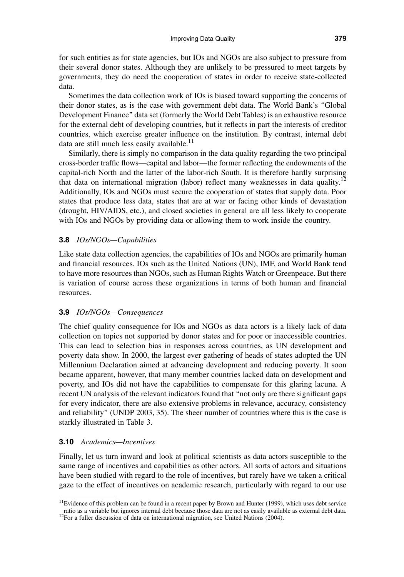for such entities as for state agencies, but IOs and NGOs are also subject to pressure from their several donor states. Although they are unlikely to be pressured to meet targets by governments, they do need the cooperation of states in order to receive state-collected data.

Sometimes the data collection work of IOs is biased toward supporting the concerns of their donor states, as is the case with government debt data. The World Bank's ''Global Development Finance'' data set (formerly the World Debt Tables) is an exhaustive resource for the external debt of developing countries, but it reflects in part the interests of creditor countries, which exercise greater influence on the institution. By contrast, internal debt data are still much less easily available.<sup>11</sup>

Similarly, there is simply no comparison in the data quality regarding the two principal cross-border traffic flows—capital and labor—the former reflecting the endowments of the capital-rich North and the latter of the labor-rich South. It is therefore hardly surprising that data on international migration (labor) reflect many weaknesses in data quality.<sup>12</sup> Additionally, IOs and NGOs must secure the cooperation of states that supply data. Poor states that produce less data, states that are at war or facing other kinds of devastation (drought, HIV/AIDS, etc.), and closed societies in general are all less likely to cooperate with IOs and NGOs by providing data or allowing them to work inside the country.

# 3.8 IOs/NGOs—Capabilities

Like state data collection agencies, the capabilities of IOs and NGOs are primarily human and financial resources. IOs such as the United Nations (UN), IMF, and World Bank tend to have more resources than NGOs, such as Human Rights Watch or Greenpeace. But there is variation of course across these organizations in terms of both human and financial resources.

# 3.9 IOs/NGOs—Consequences

The chief quality consequence for IOs and NGOs as data actors is a likely lack of data collection on topics not supported by donor states and for poor or inaccessible countries. This can lead to selection bias in responses across countries, as UN development and poverty data show. In 2000, the largest ever gathering of heads of states adopted the UN Millennium Declaration aimed at advancing development and reducing poverty. It soon became apparent, however, that many member countries lacked data on development and poverty, and IOs did not have the capabilities to compensate for this glaring lacuna. A recent UN analysis of the relevant indicators found that ''not only are there significant gaps for every indicator, there are also extensive problems in relevance, accuracy, consistency and reliability'' (UNDP 2003, 35). The sheer number of countries where this is the case is starkly illustrated in Table 3.

# 3.10 Academics—Incentives

Finally, let us turn inward and look at political scientists as data actors susceptible to the same range of incentives and capabilities as other actors. All sorts of actors and situations have been studied with regard to the role of incentives, but rarely have we taken a critical gaze to the effect of incentives on academic research, particularly with regard to our use

 $11$ Evidence of this problem can be found in a recent paper by Brown and Hunter (1999), which uses debt service ratio as a variable but ignores internal debt because those data are not as easily available as external debt

ratio as a variable but ignores internal debt because the cause of as easily available as easily available as  $(2004)$ .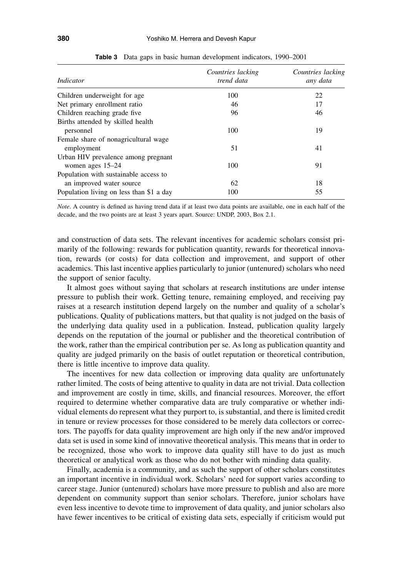| Indicator                                                         | Countries lacking<br>trend data | Countries lacking<br>any data |
|-------------------------------------------------------------------|---------------------------------|-------------------------------|
| Children underweight for age.                                     | 100                             | 22                            |
| Net primary enrollment ratio                                      | 46                              | 17                            |
| Children reaching grade five                                      | 96                              | 46                            |
| Births attended by skilled health<br>personnel                    | 100                             | 19                            |
| Female share of nonagricultural wage<br>employment                | 51                              | 41                            |
| Urban HIV prevalence among pregnant<br>women ages $15-24$         | 100                             | 91                            |
| Population with sustainable access to<br>an improved water source | 62                              | 18                            |
| Population living on less than \$1 a day                          | 100                             | 55                            |

Table 3 Data gaps in basic human development indicators, 1990–2001

Note. A country is defined as having trend data if at least two data points are available, one in each half of the decade, and the two points are at least 3 years apart. Source: UNDP, 2003, Box 2.1.

and construction of data sets. The relevant incentives for academic scholars consist primarily of the following: rewards for publication quantity, rewards for theoretical innovation, rewards (or costs) for data collection and improvement, and support of other academics. This last incentive applies particularly to junior (untenured) scholars who need the support of senior faculty.

It almost goes without saying that scholars at research institutions are under intense pressure to publish their work. Getting tenure, remaining employed, and receiving pay raises at a research institution depend largely on the number and quality of a scholar's publications. Quality of publications matters, but that quality is not judged on the basis of the underlying data quality used in a publication. Instead, publication quality largely depends on the reputation of the journal or publisher and the theoretical contribution of the work, rather than the empirical contribution per se. As long as publication quantity and quality are judged primarily on the basis of outlet reputation or theoretical contribution, there is little incentive to improve data quality.

The incentives for new data collection or improving data quality are unfortunately rather limited. The costs of being attentive to quality in data are not trivial. Data collection and improvement are costly in time, skills, and financial resources. Moreover, the effort required to determine whether comparative data are truly comparative or whether individual elements do represent what they purport to, is substantial, and there is limited credit in tenure or review processes for those considered to be merely data collectors or correctors. The payoffs for data quality improvement are high only if the new and/or improved data set is used in some kind of innovative theoretical analysis. This means that in order to be recognized, those who work to improve data quality still have to do just as much theoretical or analytical work as those who do not bother with minding data quality.

Finally, academia is a community, and as such the support of other scholars constitutes an important incentive in individual work. Scholars' need for support varies according to career stage. Junior (untenured) scholars have more pressure to publish and also are more dependent on community support than senior scholars. Therefore, junior scholars have even less incentive to devote time to improvement of data quality, and junior scholars also have fewer incentives to be critical of existing data sets, especially if criticism would put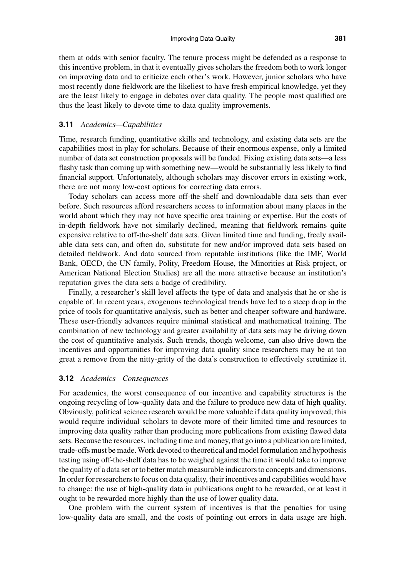them at odds with senior faculty. The tenure process might be defended as a response to this incentive problem, in that it eventually gives scholars the freedom both to work longer on improving data and to criticize each other's work. However, junior scholars who have most recently done fieldwork are the likeliest to have fresh empirical knowledge, yet they are the least likely to engage in debates over data quality. The people most qualified are thus the least likely to devote time to data quality improvements.

#### **3.11** Academics—Capabilities

Time, research funding, quantitative skills and technology, and existing data sets are the capabilities most in play for scholars. Because of their enormous expense, only a limited number of data set construction proposals will be funded. Fixing existing data sets—a less flashy task than coming up with something new—would be substantially less likely to find financial support. Unfortunately, although scholars may discover errors in existing work, there are not many low-cost options for correcting data errors.

Today scholars can access more off-the-shelf and downloadable data sets than ever before. Such resources afford researchers access to information about many places in the world about which they may not have specific area training or expertise. But the costs of in-depth fieldwork have not similarly declined, meaning that fieldwork remains quite expensive relative to off-the-shelf data sets. Given limited time and funding, freely available data sets can, and often do, substitute for new and/or improved data sets based on detailed fieldwork. And data sourced from reputable institutions (like the IMF, World Bank, OECD, the UN family, Polity, Freedom House, the Minorities at Risk project, or American National Election Studies) are all the more attractive because an institution's reputation gives the data sets a badge of credibility.

Finally, a researcher's skill level affects the type of data and analysis that he or she is capable of. In recent years, exogenous technological trends have led to a steep drop in the price of tools for quantitative analysis, such as better and cheaper software and hardware. These user-friendly advances require minimal statistical and mathematical training. The combination of new technology and greater availability of data sets may be driving down the cost of quantitative analysis. Such trends, though welcome, can also drive down the incentives and opportunities for improving data quality since researchers may be at too great a remove from the nitty-gritty of the data's construction to effectively scrutinize it.

#### 3.12 Academics—Consequences

For academics, the worst consequence of our incentive and capability structures is the ongoing recycling of low-quality data and the failure to produce new data of high quality. Obviously, political science research would be more valuable if data quality improved; this would require individual scholars to devote more of their limited time and resources to improving data quality rather than producing more publications from existing flawed data sets. Because the resources, including time and money, that go into a publication are limited, trade-offs must be made. Work devoted to theoretical and model formulation and hypothesis testing using off-the-shelf data has to be weighed against the time it would take to improve the quality of a data set or to better match measurable indicators to concepts and dimensions. In order for researchers to focus on data quality, their incentives and capabilities would have to change: the use of high-quality data in publications ought to be rewarded, or at least it ought to be rewarded more highly than the use of lower quality data.

One problem with the current system of incentives is that the penalties for using low-quality data are small, and the costs of pointing out errors in data usage are high.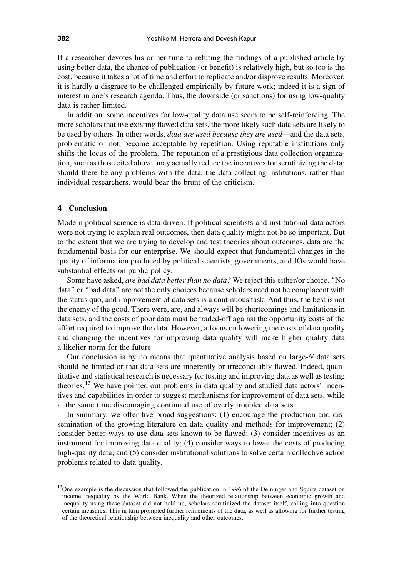If a researcher devotes his or her time to refuting the findings of a published article by using better data, the chance of publication (or benefit) is relatively high, but so too is the cost, because it takes a lot of time and effort to replicate and/or disprove results. Moreover, it is hardly a disgrace to be challenged empirically by future work; indeed it is a sign of interest in one's research agenda. Thus, the downside (or sanctions) for using low-quality data is rather limited.

In addition, some incentives for low-quality data use seem to be self-reinforcing. The more scholars that use existing flawed data sets, the more likely such data sets are likely to be used by others. In other words, *data are used because they are used*—and the data sets, problematic or not, become acceptable by repetition. Using reputable institutions only shifts the locus of the problem. The reputation of a prestigious data collection organization, such as those cited above, may actually reduce the incentives for scrutinizing the data: should there be any problems with the data, the data-collecting institutions, rather than individual researchers, would bear the brunt of the criticism.

## 4 Conclusion

Modern political science is data driven. If political scientists and institutional data actors were not trying to explain real outcomes, then data quality might not be so important. But to the extent that we are trying to develop and test theories about outcomes, data are the fundamental basis for our enterprise. We should expect that fundamental changes in the quality of information produced by political scientists, governments, and IOs would have substantial effects on public policy.

Some have asked, are bad data better than no data? We reject this either/or choice. "No data'' or ''bad data'' are not the only choices because scholars need not be complacent with the status quo, and improvement of data sets is a continuous task. And thus, the best is not the enemy of the good. There were, are, and always will be shortcomings and limitations in data sets, and the costs of poor data must be traded-off against the opportunity costs of the effort required to improve the data. However, a focus on lowering the costs of data quality and changing the incentives for improving data quality will make higher quality data a likelier norm for the future.

Our conclusion is by no means that quantitative analysis based on large-N data sets should be limited or that data sets are inherently or irreconcilably flawed. Indeed, quantitative and statistical research is necessary for testing and improving data as well as testing theories.<sup>13</sup> We have pointed out problems in data quality and studied data actors' incentives and capabilities in order to suggest mechanisms for improvement of data sets, while at the same time discouraging continued use of overly troubled data sets.

In summary, we offer five broad suggestions: (1) encourage the production and dissemination of the growing literature on data quality and methods for improvement; (2) consider better ways to use data sets known to be flawed; (3) consider incentives as an instrument for improving data quality; (4) consider ways to lower the costs of producing high-quality data; and (5) consider institutional solutions to solve certain collective action problems related to data quality.

 $13$ One example is the discussion that followed the publication in 1996 of the Deininger and Squire dataset on income inequality by the World Bank. When the theorized relationship between economic growth and inequality using these dataset did not hold up, scholars scrutinized the dataset itself, calling into question certain measures. This in turn prompted further refinements of the data, as well as allowing for further testing of the theoretical relationship between inequality and other outcomes.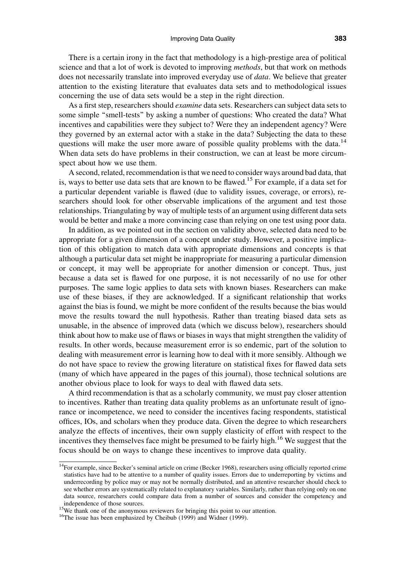There is a certain irony in the fact that methodology is a high-prestige area of political science and that a lot of work is devoted to improving *methods*, but that work on methods does not necessarily translate into improved everyday use of *data*. We believe that greater attention to the existing literature that evaluates data sets and to methodological issues concerning the use of data sets would be a step in the right direction.

As a first step, researchers should *examine* data sets. Researchers can subject data sets to some simple "smell-tests" by asking a number of questions: Who created the data? What incentives and capabilities were they subject to? Were they an independent agency? Were they governed by an external actor with a stake in the data? Subjecting the data to these questions will make the user more aware of possible quality problems with the data.<sup>14</sup> When data sets do have problems in their construction, we can at least be more circumspect about how we use them.

A second, related, recommendation is that we need to consider ways around bad data, that is, ways to better use data sets that are known to be flawed.<sup>15</sup> For example, if a data set for a particular dependent variable is flawed (due to validity issues, coverage, or errors), researchers should look for other observable implications of the argument and test those relationships. Triangulating by way of multiple tests of an argument using different data sets would be better and make a more convincing case than relying on one test using poor data.

In addition, as we pointed out in the section on validity above, selected data need to be appropriate for a given dimension of a concept under study. However, a positive implication of this obligation to match data with appropriate dimensions and concepts is that although a particular data set might be inappropriate for measuring a particular dimension or concept, it may well be appropriate for another dimension or concept. Thus, just because a data set is flawed for one purpose, it is not necessarily of no use for other purposes. The same logic applies to data sets with known biases. Researchers can make use of these biases, if they are acknowledged. If a significant relationship that works against the bias is found, we might be more confident of the results because the bias would move the results toward the null hypothesis. Rather than treating biased data sets as unusable, in the absence of improved data (which we discuss below), researchers should think about how to make use of flaws or biases in ways that might strengthen the validity of results. In other words, because measurement error is so endemic, part of the solution to dealing with measurement error is learning how to deal with it more sensibly. Although we do not have space to review the growing literature on statistical fixes for flawed data sets (many of which have appeared in the pages of this journal), those technical solutions are another obvious place to look for ways to deal with flawed data sets.

A third recommendation is that as a scholarly community, we must pay closer attention to incentives. Rather than treating data quality problems as an unfortunate result of ignorance or incompetence, we need to consider the incentives facing respondents, statistical offices, IOs, and scholars when they produce data. Given the degree to which researchers analyze the effects of incentives, their own supply elasticity of effort with respect to the incentives they themselves face might be presumed to be fairly high.<sup>16</sup> We suggest that the focus should be on ways to change these incentives to improve data quality.

<sup>&</sup>lt;sup>14</sup>For example, since Becker's seminal article on crime (Becker 1968), researchers using officially reported crime statistics have had to be attentive to a number of quality issues. Errors due to underreporting by victims and underrecording by police may or may not be normally distributed, and an attentive researcher should check to see whether errors are systematically related to explanatory variables. Similarly, rather than relying only on one data source, researchers could compare data from a number of sources and consider the competency and <sup>15</sup>We thank one of those sources.<br><sup>15</sup>We thank one of the anonymous reviewers for bringing this point to our attention.<br><sup>16</sup>The issue has been emphasized by Cheibub (1999) and Widner (1999).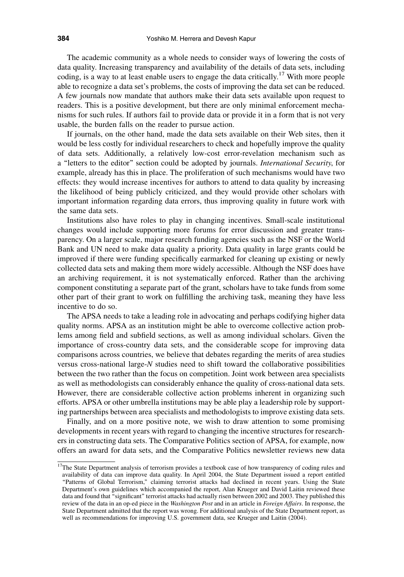The academic community as a whole needs to consider ways of lowering the costs of data quality. Increasing transparency and availability of the details of data sets, including coding, is a way to at least enable users to engage the data critically.<sup>17</sup> With more people able to recognize a data set's problems, the costs of improving the data set can be reduced. A few journals now mandate that authors make their data sets available upon request to readers. This is a positive development, but there are only minimal enforcement mechanisms for such rules. If authors fail to provide data or provide it in a form that is not very usable, the burden falls on the reader to pursue action.

If journals, on the other hand, made the data sets available on their Web sites, then it would be less costly for individual researchers to check and hopefully improve the quality of data sets. Additionally, a relatively low-cost error-revelation mechanism such as a "letters to the editor" section could be adopted by journals. *International Security*, for example, already has this in place. The proliferation of such mechanisms would have two effects: they would increase incentives for authors to attend to data quality by increasing the likelihood of being publicly criticized, and they would provide other scholars with important information regarding data errors, thus improving quality in future work with the same data sets.

Institutions also have roles to play in changing incentives. Small-scale institutional changes would include supporting more forums for error discussion and greater transparency. On a larger scale, major research funding agencies such as the NSF or the World Bank and UN need to make data quality a priority. Data quality in large grants could be improved if there were funding specifically earmarked for cleaning up existing or newly collected data sets and making them more widely accessible. Although the NSF does have an archiving requirement, it is not systematically enforced. Rather than the archiving component constituting a separate part of the grant, scholars have to take funds from some other part of their grant to work on fulfilling the archiving task, meaning they have less incentive to do so.

The APSA needs to take a leading role in advocating and perhaps codifying higher data quality norms. APSA as an institution might be able to overcome collective action problems among field and subfield sections, as well as among individual scholars. Given the importance of cross-country data sets, and the considerable scope for improving data comparisons across countries, we believe that debates regarding the merits of area studies versus cross-national large-N studies need to shift toward the collaborative possibilities between the two rather than the focus on competition. Joint work between area specialists as well as methodologists can considerably enhance the quality of cross-national data sets. However, there are considerable collective action problems inherent in organizing such efforts. APSA or other umbrella institutions may be able play a leadership role by supporting partnerships between area specialists and methodologists to improve existing data sets.

Finally, and on a more positive note, we wish to draw attention to some promising developments in recent years with regard to changing the incentive structures for researchers in constructing data sets. The Comparative Politics section of APSA, for example, now offers an award for data sets, and the Comparative Politics newsletter reviews new data

<sup>&</sup>lt;sup>17</sup>The State Department analysis of terrorism provides a textbook case of how transparency of coding rules and availability of data can improve data quality. In April 2004, the State Department issued a report entitled ''Patterns of Global Terrorism,'' claiming terrorist attacks had declined in recent years. Using the State Department's own guidelines which accompanied the report, Alan Krueger and David Laitin reviewed these data and found that ''significant'' terrorist attacks had actually risen between 2002 and 2003. They published this review of the data in an op-ed piece in the Washington Post and in an article in Foreign Affairs. In response, the State Department admitted that the report was wrong. For additional analysis of the State Department report, as well as recommendations for improving U.S. government data, see Krueger and Laitin (2004).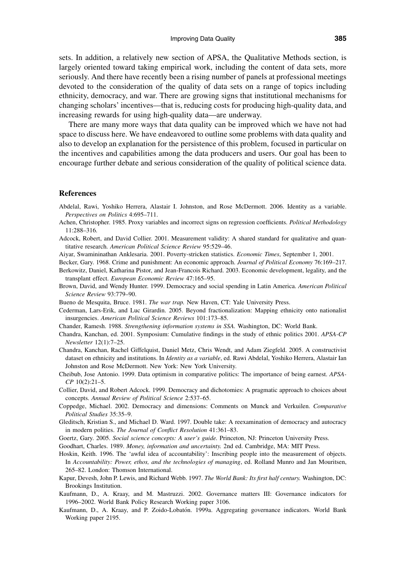sets. In addition, a relatively new section of APSA, the Qualitative Methods section, is largely oriented toward taking empirical work, including the content of data sets, more seriously. And there have recently been a rising number of panels at professional meetings devoted to the consideration of the quality of data sets on a range of topics including ethnicity, democracy, and war. There are growing signs that institutional mechanisms for changing scholars' incentives—that is, reducing costs for producing high-quality data, and increasing rewards for using high-quality data—are underway.

There are many more ways that data quality can be improved which we have not had space to discuss here. We have endeavored to outline some problems with data quality and also to develop an explanation for the persistence of this problem, focused in particular on the incentives and capabilities among the data producers and users. Our goal has been to encourage further debate and serious consideration of the quality of political science data.

## References

- Abdelal, Rawi, Yoshiko Herrera, Alastair I. Johnston, and Rose McDermott. 2006. Identity as a variable. Perspectives on Politics 4:695–711.
- Achen, Christopher. 1985. Proxy variables and incorrect signs on regression coefficients. Political Methodology 11:288–316.
- Adcock, Robert, and David Collier. 2001. Measurement validity: A shared standard for qualitative and quantitative research. American Political Science Review 95:529–46.
- Aiyar, Swamininathan Anklesaria. 2001. Poverty-stricken statistics. Economic Times, September 1, 2001.

Becker, Gary. 1968. Crime and punishment: An economic approach. Journal of Political Economy 76:169–217. Berkowitz, Daniel, Katharina Pistor, and Jean-Francois Richard. 2003. Economic development, legality, and the transplant effect. European Economic Review 47:165–95.

- Brown, David, and Wendy Hunter. 1999. Democracy and social spending in Latin America. American Political Science Review 93:779–90.
- Bueno de Mesquita, Bruce. 1981. The war trap. New Haven, CT: Yale University Press.
- Cederman, Lars-Erik, and Luc Girardin. 2005. Beyond fractionalization: Mapping ethnicity onto nationalist insurgencies. American Political Science Reviews 101:173–85.
- Chander, Ramesh. 1988. Strengthening information systems in SSA. Washington, DC: World Bank.
- Chandra, Kanchan, ed. 2001. Symposium: Cumulative findings in the study of ethnic politics 2001. APSA-CP Newsletter 12(1):7–25.
- Chandra, Kanchan, Rachel Giffelquist, Daniel Metz, Chris Wendt, and Adam Ziegfeld. 2005. A constructivist dataset on ethnicity and institutions. In *Identity as a variable*, ed. Rawi Abdelal, Yoshiko Herrera, Alastair Ian Johnston and Rose McDermott. New York: New York University.
- Cheibub, Jose Antonio. 1999. Data optimism in comparative politics: The importance of being earnest. APSA-CP 10(2):21–5.
- Collier, David, and Robert Adcock. 1999. Democracy and dichotomies: A pragmatic approach to choices about concepts. Annual Review of Political Science 2:537–65.
- Coppedge, Michael. 2002. Democracy and dimensions: Comments on Munck and Verkuilen. Comparative Political Studies 35:35–9.
- Gleditsch, Kristian S., and Michael D. Ward. 1997. Double take: A reexamination of democracy and autocracy in modern polities. The Journal of Conflict Resolution 41:361–83.

Goertz, Gary. 2005. Social science concepts: A user's guide. Princeton, NJ: Princeton University Press.

- Goodhart, Charles. 1989. Money, information and uncertainty. 2nd ed. Cambridge, MA: MIT Press.
- Hoskin, Keith. 1996. The 'awful idea of accountability': Inscribing people into the measurement of objects. In Accountability: Power, ethos, and the technologies of managing, ed. Rolland Munro and Jan Mouritsen, 265–82. London: Thomson International.
- Kapur, Devesh, John P. Lewis, and Richard Webb. 1997. The World Bank: Its first half century. Washington, DC: Brookings Institution.
- Kaufmann, D., A. Kraay, and M. Mastruzzi. 2002. Governance matters III: Governance indicators for 1996–2002. World Bank Policy Research Working paper 3106.
- Kaufmann, D., A. Kraay, and P. Zoido-Lobatón. 1999a. Aggregating governance indicators. World Bank Working paper 2195.